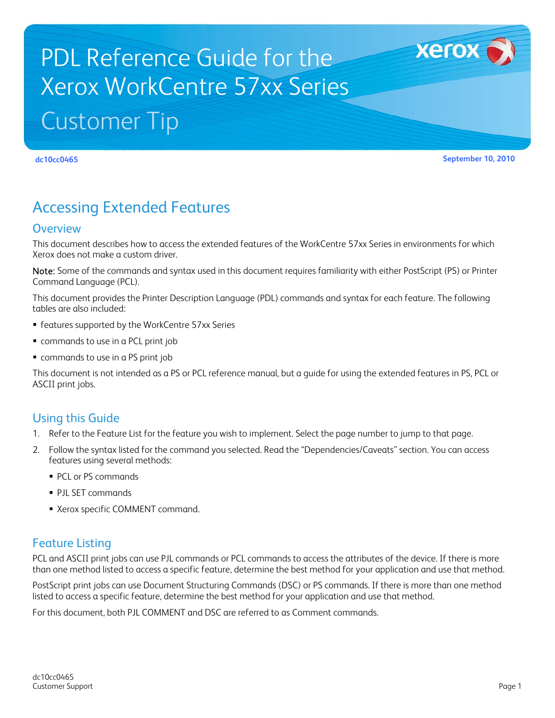# PDL Reference Guide for the Xerox WorkCentre 57xx Series Customer Tip

<span id="page-0-0"></span>

**dc10cc0465 September 10, 2010**

**Xerox** 

## Accessing Extended Features

#### <span id="page-0-1"></span>**Overview**

This document describes how to access the extended features of the WorkCentre 57xx Series in environments for which Xerox does not make a custom driver.

Note: Some of the commands and syntax used in this document requires familiarity with either PostScript (PS) or Printer Command Language (PCL).

This document provides the Printer Description Language (PDL) commands and syntax for each feature. The following tables are also included:

- features supported by the WorkCentre 57xx Series
- commands to use in a PCL print job
- commands to use in a PS print job

This document is not intended as a PS or PCL reference manual, but a guide for using the extended features in PS, PCL or ASCII print jobs.

#### <span id="page-0-2"></span>Using this Guide

- 1. Refer to the Feature List for the feature you wish to implement. Select the page number to jump to that page.
- 2. Follow the syntax listed for the command you selected. Read the "Dependencies/Caveats" section. You can access features using several methods:
	- PCL or PS commands
	- **PJL SET commands**
	- Xerox specific COMMENT command.

#### <span id="page-0-3"></span>Feature Listing

PCL and ASCII print jobs can use PJL commands or PCL commands to access the attributes of the device. If there is more than one method listed to access a specific feature, determine the best method for your application and use that method.

PostScript print jobs can use Document Structuring Commands (DSC) or PS commands. If there is more than one method listed to access a specific feature, determine the best method for your application and use that method.

For this document, both PJL COMMENT and DSC are referred to as Comment commands.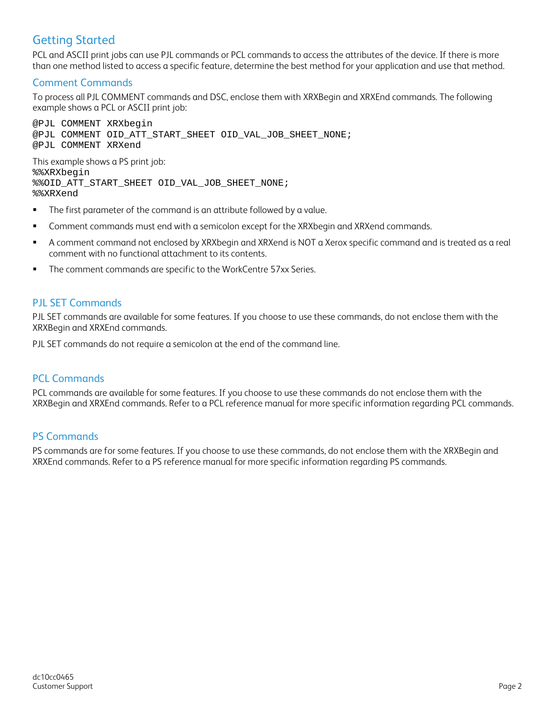### <span id="page-1-0"></span>Getting Started

PCL and ASCII print jobs can use PJL commands or PCL commands to access the attributes of the device. If there is more than one method listed to access a specific feature, determine the best method for your application and use that method.

#### <span id="page-1-1"></span>Comment Commands

To process all PJL COMMENT commands and DSC, enclose them with XRXBegin and XRXEnd commands. The following example shows a PCL or ASCII print job:

@PJL COMMENT XRXbegin @PJL COMMENT OID\_ATT\_START\_SHEET OID\_VAL\_JOB\_SHEET\_NONE; @PJL COMMENT XRXend This example shows a PS print job: %%XRXbegin %%OID\_ATT\_START\_SHEET OID\_VAL\_JOB\_SHEET\_NONE; %%XRXend

- **The first parameter of the command is an attribute followed by a value.**
- **Comment commands must end with a semicolon except for the XRXbegin and XRXend commands.**
- A comment command not enclosed by XRXbegin and XRXend is NOT a Xerox specific command and is treated as a real comment with no functional attachment to its contents.
- **The comment commands are specific to the WorkCentre 57xx Series.**

#### <span id="page-1-2"></span>PJL SET Commands

PJL SET commands are available for some features. If you choose to use these commands, do not enclose them with the XRXBegin and XRXEnd commands.

PJL SET commands do not require a semicolon at the end of the command line.

#### <span id="page-1-3"></span>PCL Commands

PCL commands are available for some features. If you choose to use these commands do not enclose them with the XRXBegin and XRXEnd commands. Refer to a PCL reference manual for more specific information regarding PCL commands.

#### <span id="page-1-4"></span>PS Commands

PS commands are for some features. If you choose to use these commands, do not enclose them with the XRXBegin and XRXEnd commands. Refer to a PS reference manual for more specific information regarding PS commands.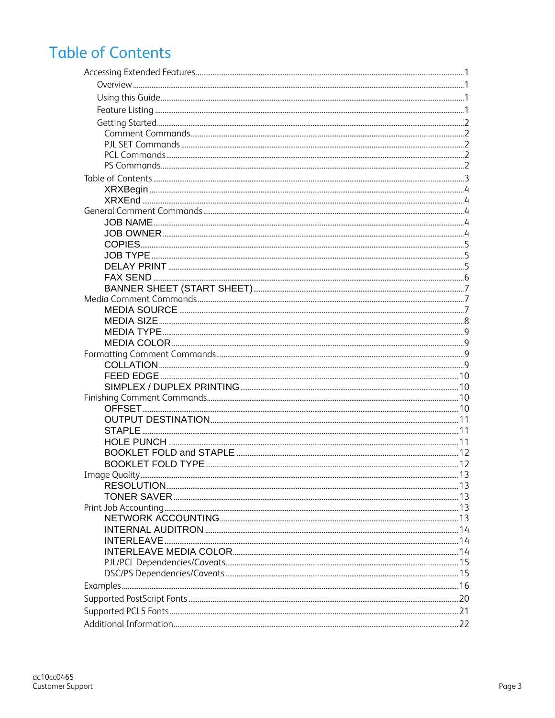## <span id="page-2-0"></span>**Table of Contents**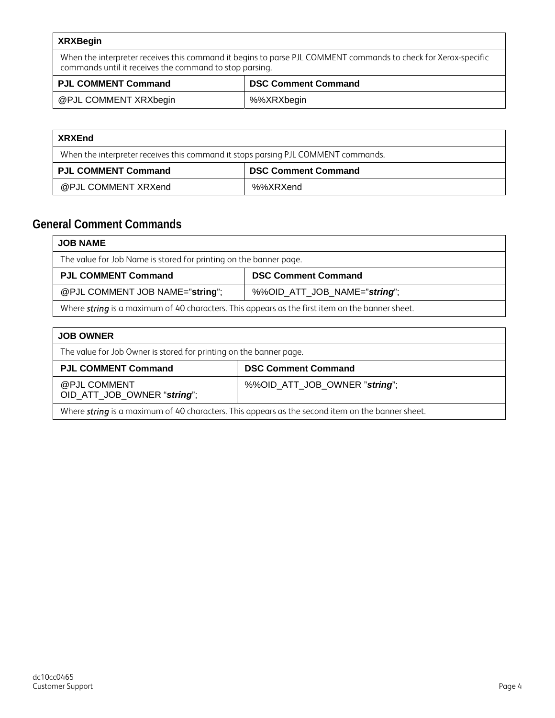<span id="page-3-0"></span>

| <b>XRXBegin</b>                                                                                                                                                           |             |  |  |  |
|---------------------------------------------------------------------------------------------------------------------------------------------------------------------------|-------------|--|--|--|
| When the interpreter receives this command it begins to parse PJL COMMENT commands to check for Xerox-specific<br>commands until it receives the command to stop parsing. |             |  |  |  |
| <b>PJL COMMENT Command</b><br><b>DSC Comment Command</b>                                                                                                                  |             |  |  |  |
| @PJL COMMENT XRXbegin                                                                                                                                                     | %%XRXbegin% |  |  |  |

<span id="page-3-1"></span>

| <b>XRXEnd</b>                                                                     |                            |  |  |  |
|-----------------------------------------------------------------------------------|----------------------------|--|--|--|
| When the interpreter receives this command it stops parsing PJL COMMENT commands. |                            |  |  |  |
| <b>PJL COMMENT Command</b>                                                        | <b>DSC Comment Command</b> |  |  |  |
| @PJL COMMENT XRXend                                                               | %%XRXend                   |  |  |  |

## <span id="page-3-3"></span><span id="page-3-2"></span>**General Comment Commands**

| <b>JOB NAME</b>                                                                                 |                            |  |  |  |
|-------------------------------------------------------------------------------------------------|----------------------------|--|--|--|
| The value for Job Name is stored for printing on the banner page.                               |                            |  |  |  |
| <b>PJL COMMENT Command</b>                                                                      | <b>DSC Comment Command</b> |  |  |  |
| @PJL COMMENT JOB NAME="string";<br>%%OID_ATT_JOB_NAME="string";                                 |                            |  |  |  |
| Where string is a maximum of 40 characters. This appears as the first item on the banner sheet. |                            |  |  |  |

<span id="page-3-4"></span>

| <b>JOB OWNER</b>                                                                                        |                            |  |  |  |
|---------------------------------------------------------------------------------------------------------|----------------------------|--|--|--|
| The value for Job Owner is stored for printing on the banner page.                                      |                            |  |  |  |
| <b>PJL COMMENT Command</b>                                                                              | <b>DSC Comment Command</b> |  |  |  |
| %%OID_ATT_JOB_OWNER "string";<br>@PJL COMMENT<br>OID_ATT_JOB_OWNER "string";                            |                            |  |  |  |
| Where <i>string</i> is a maximum of 40 characters. This appears as the second item on the banner sheet. |                            |  |  |  |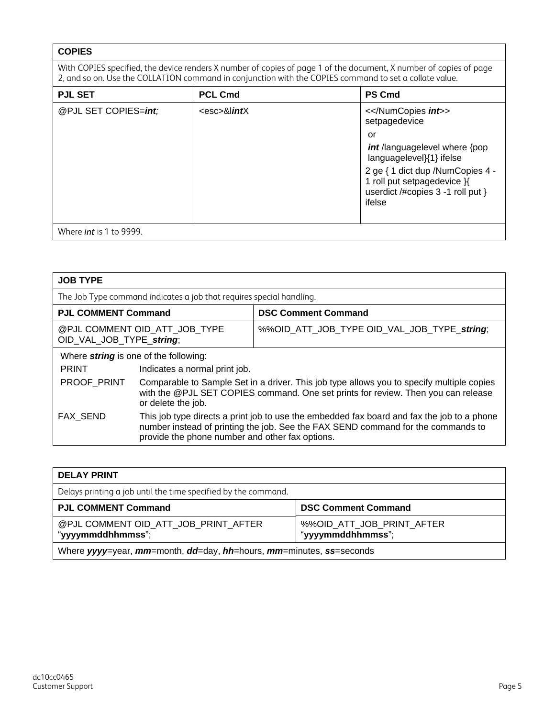#### <span id="page-4-0"></span>**COPIES**

With COPIES specified, the device renders X number of copies of page 1 of the document, X number of copies of page 2, and so on. Use the COLLATION command in conjunction with the COPIES command to set a collate value.

| <b>PJL SET</b>                 | <b>PCL Cmd</b>        | <b>PS Cmd</b>                                                                                                  |  |  |  |
|--------------------------------|-----------------------|----------------------------------------------------------------------------------------------------------------|--|--|--|
| @PJL SET COPIES=int;           | <esc>&amp;lintX</esc> | <><br>setpagedevice                                                                                            |  |  |  |
|                                |                       | or                                                                                                             |  |  |  |
|                                |                       | int/languagelevel where {pop<br>languagelevel}{1} ifelse                                                       |  |  |  |
|                                |                       | 2 ge { 1 dict dup /NumCopies 4 -<br>1 roll put setpagedevice }{<br>userdict /#copies 3 -1 roll put }<br>ifelse |  |  |  |
| Where <i>int</i> is 1 to 9999. |                       |                                                                                                                |  |  |  |
|                                |                       |                                                                                                                |  |  |  |

<span id="page-4-1"></span>

| <b>JOB TYPE</b>                                                                                                                                                                                                                               |                                                                                                                                                                                                      |                            |  |  |
|-----------------------------------------------------------------------------------------------------------------------------------------------------------------------------------------------------------------------------------------------|------------------------------------------------------------------------------------------------------------------------------------------------------------------------------------------------------|----------------------------|--|--|
|                                                                                                                                                                                                                                               | The Job Type command indicates a job that requires special handling.                                                                                                                                 |                            |  |  |
| <b>PJL COMMENT Command</b>                                                                                                                                                                                                                    |                                                                                                                                                                                                      | <b>DSC Comment Command</b> |  |  |
| @PJL COMMENT OID ATT JOB TYPE<br>%%OID_ATT_JOB_TYPE OID_VAL_JOB_TYPE_string;<br>OID_VAL_JOB_TYPE_string;                                                                                                                                      |                                                                                                                                                                                                      |                            |  |  |
|                                                                                                                                                                                                                                               | Where <i>string</i> is one of the following:                                                                                                                                                         |                            |  |  |
| <b>PRINT</b>                                                                                                                                                                                                                                  | Indicates a normal print job.                                                                                                                                                                        |                            |  |  |
| PROOF PRINT                                                                                                                                                                                                                                   | Comparable to Sample Set in a driver. This job type allows you to specify multiple copies<br>with the @PJL SET COPIES command. One set prints for review. Then you can release<br>or delete the job. |                            |  |  |
| This job type directs a print job to use the embedded fax board and fax the job to a phone<br>FAX SEND<br>number instead of printing the job. See the FAX SEND command for the commands to<br>provide the phone number and other fax options. |                                                                                                                                                                                                      |                            |  |  |

<span id="page-4-2"></span>

| <b>DELAY PRINT</b>                                                  |                                                |
|---------------------------------------------------------------------|------------------------------------------------|
| Delays printing a job until the time specified by the command.      |                                                |
| <b>PJL COMMENT Command</b>                                          | <b>DSC Comment Command</b>                     |
| @PJL COMMENT OID ATT JOB PRINT AFTER<br>"yyyymmddhhmmss";           | %%OID_ATT_JOB_PRINT_AFTER<br>"yyyymmddhhmmss"; |
| Where yyyy=year, mm=month, dd=day, hh=hours, mm=minutes, ss=seconds |                                                |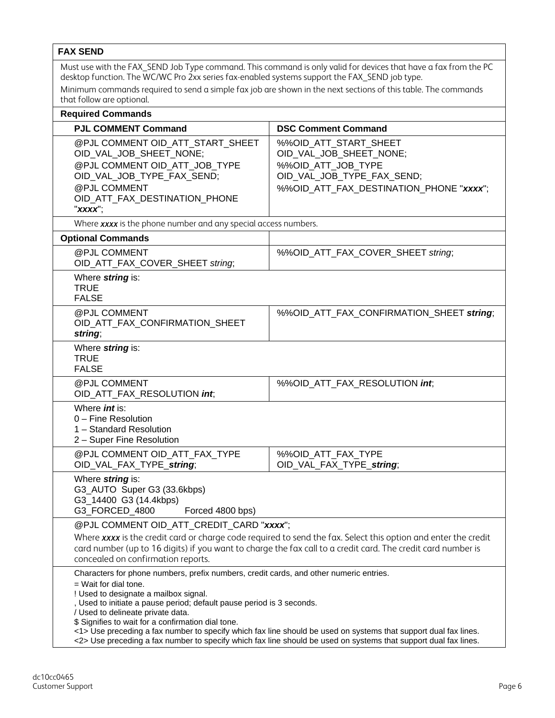#### <span id="page-5-0"></span>**FAX SEND** Must use with the FAX SEND Job Type command. This command is only valid for devices that have a fax from the PC desktop function. The WC/WC Pro 2xx series fax-enabled systems support the FAX\_SEND job type. Minimum commands required to send a simple fax job are shown in the next sections of this table. The commands that follow are optional. **Required Commands**  PJL COMMENT Command **DSC Comment Command** @PJL COMMENT OID ATT START\_SHEET OID\_VAL\_JOB\_SHEET\_NONE; @PJL COMMENT OID\_ATT\_JOB\_TYPE OID\_VAL\_JOB\_TYPE\_FAX\_SEND; @PJL COMMENT OID\_ATT\_FAX\_DESTINATION\_PHONE "*xxxx*"; %%OID\_ATT\_START\_SHEET OID\_VAL\_JOB\_SHEET\_NONE; %%OID\_ATT\_JOB\_TYPE OID\_VAL\_JOB\_TYPE\_FAX\_SEND; %%OID\_ATT\_FAX\_DESTINATION\_PHONE "*xxxx*"; Where *xxxx* is the phone number and any special access numbers. **Optional Commands**  @PJL COMMENT OID\_ATT\_FAX\_COVER\_SHEET *string*; %%OID\_ATT\_FAX\_COVER\_SHEET *string*; Where *string* is: TRUE FALSE @PJL COMMENT OID\_ATT\_FAX\_CONFIRMATION\_SHEET *string*; %%OID\_ATT\_FAX\_CONFIRMATION\_SHEET *string*; Where *string* is: **TRUE** FALSE @PJL COMMENT OID\_ATT\_FAX\_RESOLUTION *int*; %%OID\_ATT\_FAX\_RESOLUTION *int*; Where *int* is: 0 – Fine Resolution 1 – Standard Resolution 2 – Super Fine Resolution @PJL COMMENT OID\_ATT\_FAX\_TYPE OID\_VAL\_FAX\_TYPE\_*string*; %%OID\_ATT\_FAX\_TYPE OID\_VAL\_FAX\_TYPE\_*string*; Where *string* is: G3\_AUTO Super G3 (33.6kbps) G3\_14400 G3 (14.4kbps) G3 FORCED\_4800 Forced 4800 bps) @PJL COMMENT OID\_ATT\_CREDIT\_CARD "*xxxx*"; Where *xxxx* is the credit card or charge code required to send the fax. Select this option and enter the credit card number (up to 16 digits) if you want to charge the fax call to a credit card. The credit card number is concealed on confirmation reports. Characters for phone numbers, prefix numbers, credit cards, and other numeric entries. = Wait for dial tone. ! Used to designate a mailbox signal. , Used to initiate a pause period; default pause period is 3 seconds. / Used to delineate private data. \$ Signifies to wait for a confirmation dial tone. <1> Use preceding a fax number to specify which fax line should be used on systems that support dual fax lines. <2> Use preceding a fax number to specify which fax line should be used on systems that support dual fax lines.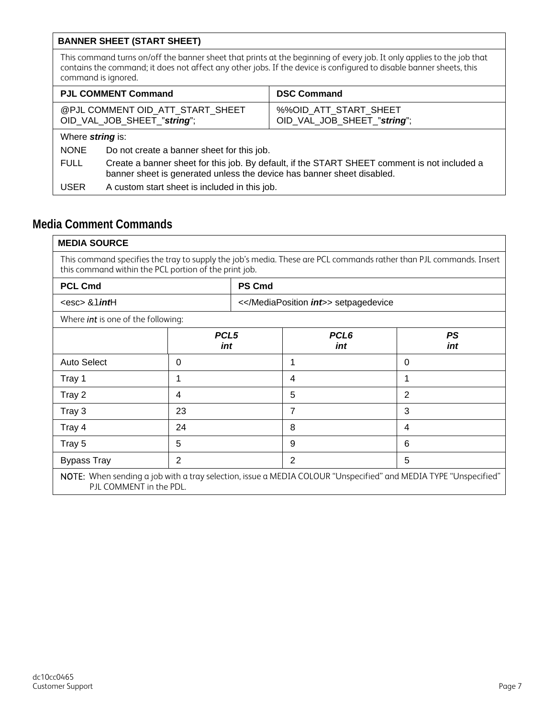#### <span id="page-6-0"></span>**BANNER SHEET (START SHEET)**

This command turns on/off the banner sheet that prints at the beginning of every job. It only applies to the job that contains the command; it does not affect any other jobs. If the device is configured to disable banner sheets, this command is ignored.

| <b>PJL COMMENT Command</b>                                      |                                                                                                                                                                        | <b>DSC Command</b>                                   |  |  |
|-----------------------------------------------------------------|------------------------------------------------------------------------------------------------------------------------------------------------------------------------|------------------------------------------------------|--|--|
| @PJL COMMENT OID_ATT_START_SHEET<br>OID_VAL_JOB_SHEET_"string"; |                                                                                                                                                                        | %%OID_ATT_START_SHEET<br>OID_VAL_JOB_SHEET_"string"; |  |  |
| Where <i>string</i> is:                                         |                                                                                                                                                                        |                                                      |  |  |
| <b>NONE</b>                                                     | Do not create a banner sheet for this job.                                                                                                                             |                                                      |  |  |
| <b>FULL</b>                                                     | Create a banner sheet for this job. By default, if the START SHEET comment is not included a<br>banner sheet is generated unless the device has banner sheet disabled. |                                                      |  |  |
| <b>USER</b>                                                     | A custom start sheet is included in this job.                                                                                                                          |                                                      |  |  |

### <span id="page-6-2"></span><span id="page-6-1"></span>**Media Comment Commands**

| <b>MEDIA SOURCE</b>                                                                                                                                                         |                                                                        |               |                      |                |  |
|-----------------------------------------------------------------------------------------------------------------------------------------------------------------------------|------------------------------------------------------------------------|---------------|----------------------|----------------|--|
| This command specifies the tray to supply the job's media. These are PCL commands rather than PJL commands. Insert<br>this command within the PCL portion of the print job. |                                                                        |               |                      |                |  |
| <b>PCL Cmd</b>                                                                                                                                                              |                                                                        | <b>PS Cmd</b> |                      |                |  |
| $<$ esc $>$ & $1$ <i>int</i> H                                                                                                                                              |                                                                        |               | <int>> setpagedevice |                |  |
| Where <i>int</i> is one of the following:                                                                                                                                   |                                                                        |               |                      |                |  |
|                                                                                                                                                                             | PCL <sub>5</sub><br>PCL <sub>6</sub><br><b>PS</b><br>int<br>int<br>int |               |                      |                |  |
| <b>Auto Select</b>                                                                                                                                                          | $\Omega$                                                               |               | 1                    | $\Omega$       |  |
| Tray 1                                                                                                                                                                      | 1                                                                      |               | 4                    | 1              |  |
| Tray 2                                                                                                                                                                      | 4                                                                      |               | 5                    | $\overline{2}$ |  |
| Tray 3                                                                                                                                                                      | 23                                                                     |               | 7                    | 3              |  |
| Tray 4                                                                                                                                                                      | 24                                                                     |               | 8                    | 4              |  |
| Tray 5                                                                                                                                                                      | 5                                                                      |               | 9                    | 6              |  |
| <b>Bypass Tray</b>                                                                                                                                                          | $\overline{2}$<br>5<br>2                                               |               |                      |                |  |
| NOTE: When sending a job with a tray selection, issue a MEDIA COLOUR "Unspecified" and MEDIA TYPE "Unspecified"<br>PJL COMMENT in the PDL.                                  |                                                                        |               |                      |                |  |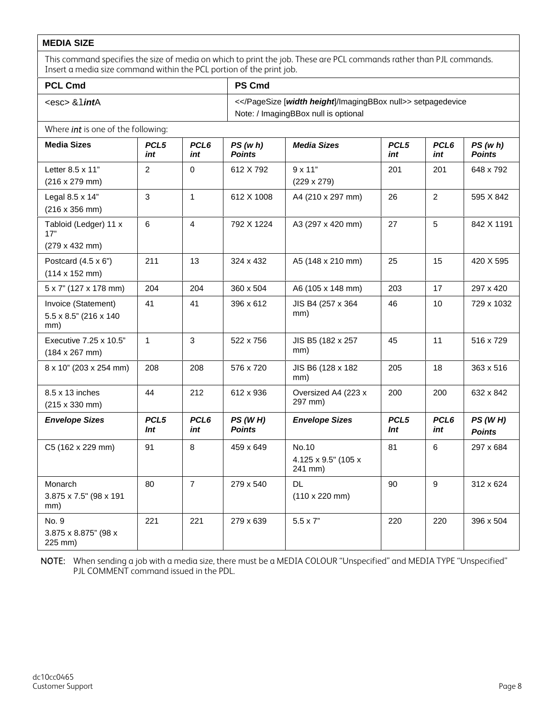#### <span id="page-7-0"></span>**MEDIA SIZE**

This command specifies the size of media on which to print the job. These are PCL commands rather than PJL commands. Insert a media size command within the PCL portion of the print job.

| <b>PCL Cmd</b>                                              |                         |                         | <b>PS Cmd</b>                                            |                                            |                         |                         |                          |
|-------------------------------------------------------------|-------------------------|-------------------------|----------------------------------------------------------|--------------------------------------------|-------------------------|-------------------------|--------------------------|
| <esc> &amp;1<i>int</i>A</esc>                               |                         |                         | <> setpagedevice<br>Note: / ImagingBBox null is optional |                                            |                         |                         |                          |
| Where <i>int</i> is one of the following:                   |                         |                         |                                                          |                                            |                         |                         |                          |
| <b>Media Sizes</b>                                          | PCL5<br>int             | PCL6<br>int             | PS(w h)<br><b>Points</b>                                 | <b>Media Sizes</b>                         | PCL5<br>int             | PCL6<br>int             | PS(w h)<br><b>Points</b> |
| Letter 8.5 x 11"<br>(216 x 279 mm)                          | $\overline{2}$          | $\mathbf 0$             | 612 X 792                                                | $9 \times 11"$<br>$(229 \times 279)$       | 201                     | 201                     | 648 x 792                |
| Legal 8.5 x 14"<br>(216 x 356 mm)                           | 3                       | $\mathbf{1}$            | 612 X 1008                                               | A4 (210 x 297 mm)                          | 26                      | $\overline{2}$          | 595 X 842                |
| Tabloid (Ledger) 11 x<br>17"                                | 6                       | $\overline{4}$          | 792 X 1224                                               | A3 (297 x 420 mm)                          | 27                      | 5                       | 842 X 1191               |
| (279 x 432 mm)                                              |                         |                         |                                                          |                                            |                         |                         |                          |
| Postcard $(4.5 \times 6")$<br>$(114 \times 152 \text{ mm})$ | 211                     | 13                      | 324 x 432                                                | A5 (148 x 210 mm)                          | 25                      | 15                      | 420 X 595                |
| 5 x 7" (127 x 178 mm)                                       | 204                     | 204                     | 360 x 504                                                | A6 (105 x 148 mm)                          | 203                     | 17                      | 297 x 420                |
| Invoice (Statement)<br>5.5 x 8.5" (216 x 140)<br>mm)        | 41                      | 41                      | 396 x 612                                                | JIS B4 (257 x 364)<br>mm)                  | 46                      | 10                      | 729 x 1032               |
| Executive 7.25 x 10.5"<br>$(184 \times 267 \text{ mm})$     | $\mathbf{1}$            | 3                       | 522 x 756                                                | JIS B5 (182 x 257<br>mm)                   | 45                      | 11                      | 516 x 729                |
| 8 x 10" (203 x 254 mm)                                      | 208                     | 208                     | 576 x 720                                                | JIS B6 (128 x 182<br>mm)                   | 205                     | 18                      | 363 x 516                |
| 8.5 x 13 inches<br>(215 x 330 mm)                           | 44                      | 212                     | 612 x 936                                                | Oversized A4 (223 x<br>297 mm)             | 200                     | 200                     | 632 x 842                |
| <b>Envelope Sizes</b>                                       | PCL <sub>5</sub><br>Int | PCL <sub>6</sub><br>int | PS(WH)<br><b>Points</b>                                  | <b>Envelope Sizes</b>                      | PCL <sub>5</sub><br>Int | PCL <sub>6</sub><br>int | PS(WH)<br><b>Points</b>  |
| C5 (162 x 229 mm)                                           | 91                      | 8                       | 459 x 649                                                | No.10<br>4.125 x 9.5" (105 x<br>241 mm)    | 81                      | 6                       | 297 x 684                |
| Monarch<br>3.875 x 7.5" (98 x 191<br>mm)                    | 80                      | $\overline{7}$          | 279 x 540                                                | <b>DL</b><br>$(110 \times 220 \text{ mm})$ | 90                      | 9                       | 312 x 624                |
| No. 9<br>3.875 x 8.875" (98 x<br>225 mm)                    | 221                     | 221                     | 279 x 639                                                | $5.5 \times 7"$                            | 220                     | 220                     | 396 x 504                |

NOTE: When sending a job with a media size, there must be a MEDIA COLOUR "Unspecified" and MEDIA TYPE "Unspecified" PJL COMMENT command issued in the PDL.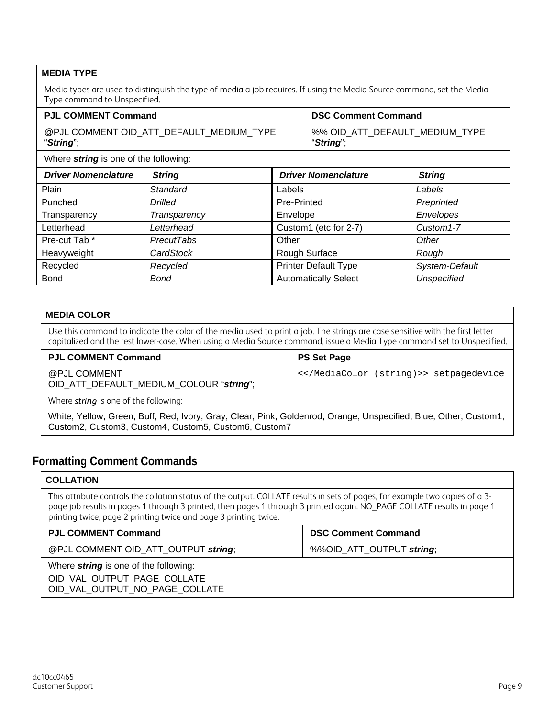<span id="page-8-0"></span>

| <b>MEDIA TYPE</b>                                              |                                                                                                                        |                           |                             |                                |  |
|----------------------------------------------------------------|------------------------------------------------------------------------------------------------------------------------|---------------------------|-----------------------------|--------------------------------|--|
| Type command to Unspecified.                                   | Media types are used to distinguish the type of media a job requires. If using the Media Source command, set the Media |                           |                             |                                |  |
| <b>PJL COMMENT Command</b>                                     |                                                                                                                        |                           | <b>DSC Comment Command</b>  |                                |  |
| "String";                                                      | @PJL COMMENT OID_ATT_DEFAULT_MEDIUM_TYPE                                                                               |                           | "String";                   | %% OID_ATT_DEFAULT_MEDIUM_TYPE |  |
| Where <i>string</i> is one of the following:                   |                                                                                                                        |                           |                             |                                |  |
| <b>Driver Nomenclature</b>                                     | <b>String</b>                                                                                                          |                           | <b>Driver Nomenclature</b>  | <b>String</b>                  |  |
| Plain                                                          | Standard                                                                                                               | Labels                    |                             | Labels                         |  |
| Punched                                                        | <b>Drilled</b>                                                                                                         | Pre-Printed<br>Preprinted |                             |                                |  |
| Transparency                                                   | Envelopes<br>Envelope<br>Transparency                                                                                  |                           |                             |                                |  |
| Custom1 (etc for 2-7)<br>Custom1-7<br>Letterhead<br>Letterhead |                                                                                                                        |                           |                             |                                |  |
| Pre-cut Tab*                                                   | <b>PrecutTabs</b>                                                                                                      | Other<br>Other            |                             |                                |  |
| Heavyweight                                                    | CardStock                                                                                                              | Rough Surface<br>Rough    |                             |                                |  |
| Recycled                                                       | Recycled                                                                                                               |                           | <b>Printer Default Type</b> | System-Default                 |  |

#### <span id="page-8-1"></span>**MEDIA COLOR**

Use this command to indicate the color of the media used to print a job. The strings are case sensitive with the first letter capitalized and the rest lower-case. When using a Media Source command, issue a Media Type command set to Unspecified.

Bond **Bond Bond Automatically Select** *Unspecified* 

| <b>PJL COMMENT Command</b>                              | <b>PS Set Page</b> |
|---------------------------------------------------------|--------------------|
| @PJL COMMENT<br>OID_ATT_DEFAULT_MEDIUM_COLOUR "string"; | <> setpagedevice   |

Where *string* is one of the following:

White, Yellow, Green, Buff, Red, Ivory, Gray, Clear, Pink, Goldenrod, Orange, Unspecified, Blue, Other, Custom1, Custom2, Custom3, Custom4, Custom5, Custom6, Custom7

#### <span id="page-8-3"></span><span id="page-8-2"></span>**Formatting Comment Commands**

#### **COLLATION**

This attribute controls the collation status of the output. COLLATE results in sets of pages, for example two copies of a 3 page job results in pages 1 through 3 printed, then pages 1 through 3 printed again. NO\_PAGE COLLATE results in page 1 printing twice, page 2 printing twice and page 3 printing twice.

| <b>PJL COMMENT Command</b>                   | <b>DSC Comment Command</b> |
|----------------------------------------------|----------------------------|
| @PJL COMMENT OID_ATT_OUTPUT string;          | %%OID_ATT_OUTPUT string;   |
| Where <i>string</i> is one of the following: |                            |
| OID VAL OUTPUT PAGE COLLATE                  |                            |
| OID_VAL_OUTPUT_NO_PAGE_COLLATE               |                            |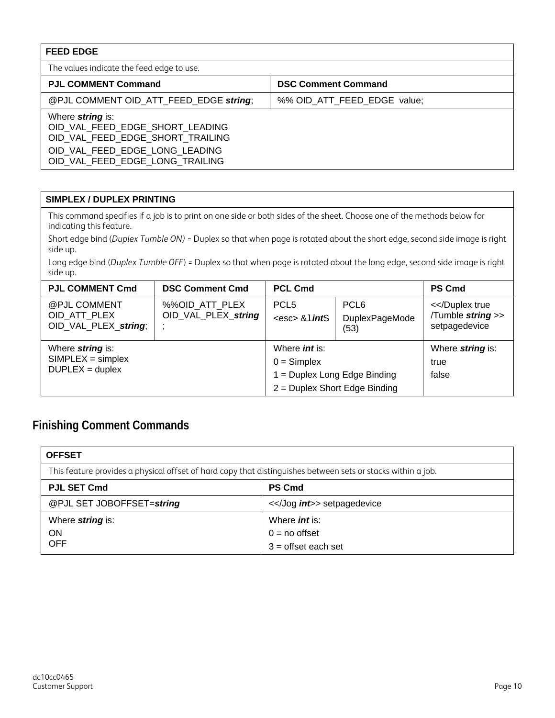<span id="page-9-0"></span>

| <b>FEED EDGE</b>                                                                                                                                                    |                             |
|---------------------------------------------------------------------------------------------------------------------------------------------------------------------|-----------------------------|
| The values indicate the feed edge to use.                                                                                                                           |                             |
| <b>PJL COMMENT Command</b>                                                                                                                                          | <b>DSC Comment Command</b>  |
| @PJL COMMENT OID ATT FEED EDGE string;                                                                                                                              | %% OID ATT FEED EDGE value; |
| Where <i>string</i> is:<br>OID VAL FEED EDGE SHORT LEADING<br>OID VAL FEED EDGE SHORT TRAILING<br>OID VAL FEED EDGE LONG LEADING<br>OID VAL FEED EDGE LONG TRAILING |                             |

#### <span id="page-9-1"></span>**SIMPLEX / DUPLEX PRINTING**

This command specifies if a job is to print on one side or both sides of the sheet. Choose one of the methods below for indicating this feature.

Short edge bind (*Duplex Tumble ON)* = Duplex so that when page is rotated about the short edge, second side image is right side up.

Long edge bind (*Duplex Tumble OFF*) = Duplex so that when page is rotated about the long edge, second side image is right side up.

| <b>PJL COMMENT Cmd</b>                                                     | <b>DSC Comment Cmd</b>                | <b>PCL Cmd</b>                                                          |                                            | <b>PS Cmd</b>                            |
|----------------------------------------------------------------------------|---------------------------------------|-------------------------------------------------------------------------|--------------------------------------------|------------------------------------------|
| @PJL COMMENT<br>OID ATT PLEX<br>OID VAL PLEX string;                       | %%OID ATT PLEX<br>OID_VAL_PLEX_string | PCL <sub>5</sub><br><esc> &amp; lintS</esc>                             | PCL <sub>6</sub><br>DuplexPageMode<br>(53) | </Tumble string >><br>setpagedevice      |
| Where <i>string</i> is:<br>$SIMPLEX = simplex$<br>$DUPLEX = \text{duplex}$ |                                       | Where <i>int</i> is:<br>$0 =$ Simplex<br>$1 =$ Duplex Long Edge Binding | 2 = Duplex Short Edge Binding              | Where <i>string</i> is:<br>true<br>false |

### <span id="page-9-2"></span>**Finishing Comment Commands**

<span id="page-9-3"></span>

| <b>OFFSET</b>                                                                                                |                       |
|--------------------------------------------------------------------------------------------------------------|-----------------------|
| This feature provides a physical offset of hard copy that distinguishes between sets or stacks within a job. |                       |
| <b>PJL SET Cmd</b>                                                                                           | <b>PS Cmd</b>         |
| @PJL SET JOBOFFSET=string                                                                                    | <int>> setpagedevice  |
| Where <i>string</i> is:                                                                                      | Where <i>int</i> is:  |
| <b>ON</b>                                                                                                    | $0 = no$ offset       |
| <b>OFF</b>                                                                                                   | $3 =$ offset each set |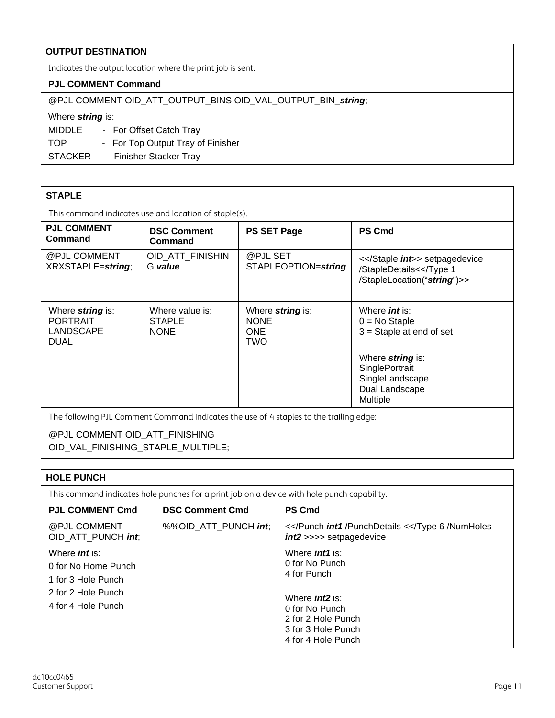#### <span id="page-10-0"></span>**OUTPUT DESTINATION**

Indicates the output location where the print job is sent.

#### **PJL COMMENT Command**

@PJL COMMENT OID\_ATT\_OUTPUT\_BINS OID\_VAL\_OUTPUT\_BIN\_*string*;

#### Where *string* is:

MIDDLE - For Offset Catch Tray

TOP - For Top Output Tray of Finisher

STACKER - Finisher Stacker Tray

<span id="page-10-1"></span>

| <b>STAPLE</b>                                                                          |                                                 |                                                             |                                                                                                  |  |
|----------------------------------------------------------------------------------------|-------------------------------------------------|-------------------------------------------------------------|--------------------------------------------------------------------------------------------------|--|
| This command indicates use and location of staple(s).                                  |                                                 |                                                             |                                                                                                  |  |
| <b>PJL COMMENT</b><br>Command                                                          | <b>DSC Comment</b><br>Command                   | <b>PS SET Page</b>                                          | <b>PS Cmd</b>                                                                                    |  |
| @PJL COMMENT<br>XRXSTAPLE=string;                                                      | OID_ATT_FINISHIN<br>G value                     | @PJL SET<br>STAPLEOPTION=string                             | <int>> setpagedevice<br>/StapleDetails</StapleLocation("string")>>                               |  |
| Where <i>string</i> is:<br><b>PORTRAIT</b><br>LANDSCAPE<br><b>DUAL</b>                 | Where value is:<br><b>STAPLE</b><br><b>NONE</b> | Where <i>string</i> is:<br><b>NONE</b><br><b>ONE</b><br>TWO | Where <i>int</i> is:<br>$0 = No$ Staple<br>$3 =$ Staple at end of set<br>Where <i>string</i> is: |  |
| SinglePortrait<br>SingleLandscape<br>Dual Landscape<br>Multiple                        |                                                 |                                                             |                                                                                                  |  |
| The following PJL Comment Command indicates the use of 4 staples to the trailing edge: |                                                 |                                                             |                                                                                                  |  |
| @PJL COMMENT OID_ATT_FINISHING<br>OID_VAL_FINISHING_STAPLE_MULTIPLE;                   |                                                 |                                                             |                                                                                                  |  |

<span id="page-10-2"></span>

| <b>HOLE PUNCH</b>                                                                                        |                        |                                                                                                                                                                |
|----------------------------------------------------------------------------------------------------------|------------------------|----------------------------------------------------------------------------------------------------------------------------------------------------------------|
| This command indicates hole punches for a print job on a device with hole punch capability.              |                        |                                                                                                                                                                |
| <b>PJL COMMENT Cmd</b>                                                                                   | <b>DSC Comment Cmd</b> | <b>PS Cmd</b>                                                                                                                                                  |
| @PJL COMMENT<br>OID ATT PUNCH int.                                                                       | %%OID ATT PUNCH int,   | <int1 /PunchDetails <int2>>>> setpagedevice                                                                                                                    |
| Where $int$ is:<br>0 for No Home Punch<br>1 for 3 Hole Punch<br>2 for 2 Hole Punch<br>4 for 4 Hole Punch |                        | Where <i>int1</i> is:<br>0 for No Punch<br>4 for Punch<br>Where $int2$ is:<br>0 for No Punch<br>2 for 2 Hole Punch<br>3 for 3 Hole Punch<br>4 for 4 Hole Punch |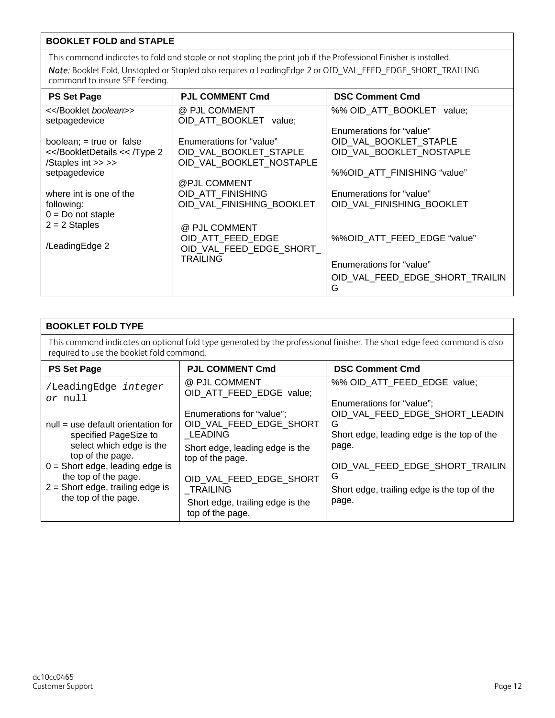#### <span id="page-11-0"></span>**BOOKLET FOLD and STAPLE**

This command indicates to fold and staple or not stapling the print job if the Professional Finisher is installed. *Note:* Booklet Fold, Unstapled or Stapled also requires a LeadingEdge 2 or OID\_VAL\_FEED\_EDGE\_SHORT\_TRAILING command to insure SEF feeding.

| <b>PS Set Page</b>                                                  | <b>PJL COMMENT Cmd</b>    | <b>DSC Comment Cmd</b>          |
|---------------------------------------------------------------------|---------------------------|---------------------------------|
| <>                                                                  | @ PJL COMMENT             | %% OID ATT BOOKLET value;       |
| setpagedevice                                                       | OID ATT BOOKLET value;    |                                 |
|                                                                     |                           | Enumerations for "value"        |
| boolean; = true or false                                            | Enumerations for "value"  | OID VAL_BOOKLET_STAPLE          |
| < <td>OID VAL BOOKLET STAPLE</td> <td>OID VAL BOOKLET NOSTAPLE</td> | OID VAL BOOKLET STAPLE    | OID VAL BOOKLET NOSTAPLE        |
| /Staples int >> >>                                                  | OID VAL BOOKLET NOSTAPLE  |                                 |
| setpagedevice                                                       |                           | %%OID ATT FINISHING "value"     |
|                                                                     | @PJL COMMENT              |                                 |
| where int is one of the                                             | OID ATT FINISHING         | Enumerations for "value"        |
| following:                                                          | OID VAL FINISHING BOOKLET | OID VAL FINISHING BOOKLET       |
| $0 = Do$ not staple                                                 |                           |                                 |
| $2 = 2$ Staples                                                     | @ PJL COMMENT             |                                 |
|                                                                     | OID ATT FEED EDGE         | %%OID_ATT_FEED_EDGE "value"     |
| /LeadingEdge 2                                                      | OID VAL FEED EDGE SHORT   |                                 |
|                                                                     | <b>TRAILING</b>           |                                 |
|                                                                     |                           | Enumerations for "value"        |
|                                                                     |                           | OID_VAL_FEED_EDGE_SHORT_TRAILIN |
|                                                                     |                           | G                               |

<span id="page-11-1"></span>

| <b>BOOKLET FOLD TYPE</b>                                                                                                                                                                                                                 |                                                                                                                                                                                                                              |                                                                                                                                                                                                                         |
|------------------------------------------------------------------------------------------------------------------------------------------------------------------------------------------------------------------------------------------|------------------------------------------------------------------------------------------------------------------------------------------------------------------------------------------------------------------------------|-------------------------------------------------------------------------------------------------------------------------------------------------------------------------------------------------------------------------|
| This command indicates an optional fold type generated by the professional finisher. The short edge feed command is also<br>required to use the booklet fold command.                                                                    |                                                                                                                                                                                                                              |                                                                                                                                                                                                                         |
| <b>PS Set Page</b>                                                                                                                                                                                                                       | <b>PJL COMMENT Cmd</b>                                                                                                                                                                                                       | <b>DSC Comment Cmd</b>                                                                                                                                                                                                  |
| /LeadingEdge integer<br>or null                                                                                                                                                                                                          | @ PJL COMMENT<br>OID ATT FEED EDGE value;                                                                                                                                                                                    | %% OID ATT FEED EDGE value;                                                                                                                                                                                             |
| $null = use default orientation for$<br>specified PageSize to<br>select which edge is the<br>top of the page.<br>$0 =$ Short edge, leading edge is<br>the top of the page.<br>$2 =$ Short edge, trailing edge is<br>the top of the page. | Enumerations for "value";<br>OID_VAL_FEED_EDGE_SHORT<br><b>LEADING</b><br>Short edge, leading edge is the<br>top of the page.<br>OID VAL FEED EDGE SHORT<br>TRAILING<br>Short edge, trailing edge is the<br>top of the page. | Enumerations for "value";<br>OID VAL FEED EDGE SHORT LEADIN<br>G<br>Short edge, leading edge is the top of the<br>page.<br>OID_VAL_FEED_EDGE_SHORT_TRAILIN<br>G<br>Short edge, trailing edge is the top of the<br>page. |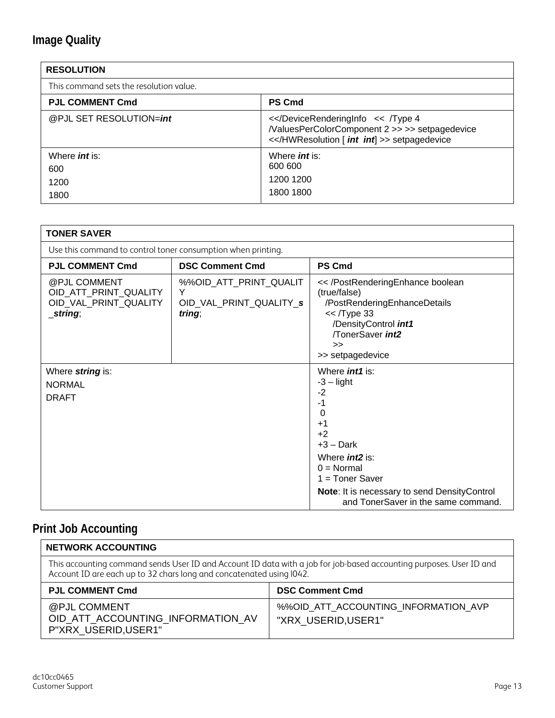## <span id="page-12-0"></span>**Image Quality**

<span id="page-12-1"></span>

| <b>RESOLUTION</b>                           |                                                                                |
|---------------------------------------------|--------------------------------------------------------------------------------|
| This command sets the resolution value.     |                                                                                |
| <b>PJL COMMENT Cmd</b>                      | <b>PS Cmd</b>                                                                  |
| @PJL SET RESOLUTION=int                     | </ValuesPerColorComponent 2 >> >> setpagedevice<br><int int   >> setpagedevice |
| Where <i>int</i> is:<br>600<br>1200<br>1800 | Where <i>int</i> is:<br>600 600<br>1200 1200<br>1800 1800                      |

<span id="page-12-2"></span>

| <b>TONER SAVER</b>                                                            |                                                                  |                                                                                                                                                                                                                                                |
|-------------------------------------------------------------------------------|------------------------------------------------------------------|------------------------------------------------------------------------------------------------------------------------------------------------------------------------------------------------------------------------------------------------|
| Use this command to control toner consumption when printing.                  |                                                                  |                                                                                                                                                                                                                                                |
| <b>PJL COMMENT Cmd</b>                                                        | <b>DSC Comment Cmd</b>                                           | <b>PS Cmd</b>                                                                                                                                                                                                                                  |
| @PJL COMMENT<br>OID_ATT_PRINT_QUALITY<br>OID_VAL_PRINT_QUALITY<br>$\_string;$ | %%OID_ATT_PRINT_QUALIT<br>Y<br>OID_VAL_PRINT_QUALITY_s<br>tring; | << /PostRenderingEnhance boolean<br>(true/false)<br>/PostRenderingEnhanceDetails<br>$<<$ /Type 33<br>/DensityControl <i>int1</i><br>/TonerSaver int2<br>><br>>> setpagedevice                                                                  |
| Where string is:<br><b>NORMAL</b><br><b>DRAFT</b>                             |                                                                  | Where <i>int1</i> is:<br>$-3$ – light<br>$-2$<br>$-1$<br>0<br>$+1$<br>$+2$<br>$+3 - Dark$<br>Where <i>int2</i> is:<br>$0 = Normal$<br>$1 = Toner Saver$<br>Note: It is necessary to send DensityControl<br>and TonerSaver in the same command. |

## <span id="page-12-3"></span>**Print Job Accounting**

<span id="page-12-4"></span>

| <b>NETWORK ACCOUNTING</b>                                                                                                                                                                   |                                                             |
|---------------------------------------------------------------------------------------------------------------------------------------------------------------------------------------------|-------------------------------------------------------------|
| This accounting command sends User ID and Account ID data with a job for job-based accounting purposes. User ID and<br>Account ID are each up to 32 chars long and concatenated using I042. |                                                             |
| <b>PJL COMMENT Cmd</b>                                                                                                                                                                      | <b>DSC Comment Cmd</b>                                      |
| @PJL COMMENT<br>OID_ATT_ACCOUNTING_INFORMATION_AV<br>P"XRX_USERID,USER1"                                                                                                                    | %%OID_ATT_ACCOUNTING_INFORMATION AVP<br>"XRX USERID, USER1" |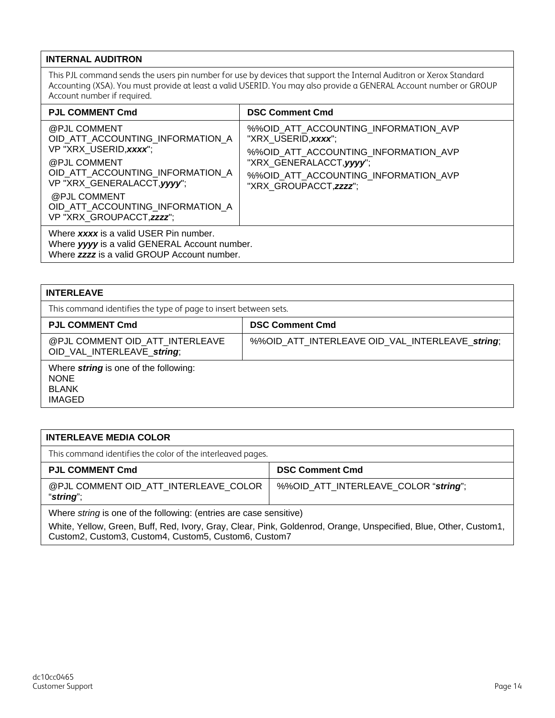#### <span id="page-13-0"></span>**INTERNAL AUDITRON**

This PJL command sends the users pin number for use by devices that support the Internal Auditron or Xerox Standard Accounting (XSA). You must provide at least a valid USERID. You may also provide a GENERAL Account number or GROUP Account number if required.

| <b>PJL COMMENT Cmd</b>                                                                                                                                                                                                                         | <b>DSC Comment Cmd</b>                                                                                                                                                                            |  |  |  |
|------------------------------------------------------------------------------------------------------------------------------------------------------------------------------------------------------------------------------------------------|---------------------------------------------------------------------------------------------------------------------------------------------------------------------------------------------------|--|--|--|
| @PJL COMMENT<br>OID ATT ACCOUNTING INFORMATION A<br>VP "XRX USERID, xxxx";<br>@PJL COMMENT<br>OID ATT ACCOUNTING INFORMATION A<br>VP "XRX_GENERALACCT, yyyy";<br>@PJL COMMENT<br>OID ATT ACCOUNTING INFORMATION A<br>VP "XRX GROUPACCT, zzzz"; | %%OID ATT ACCOUNTING INFORMATION AVP<br>"XRX USERID, xxxx";<br>%%OID ATT ACCOUNTING INFORMATION AVP<br>"XRX_GENERALACCT, yyyy";<br>%%OID ATT ACCOUNTING INFORMATION AVP<br>"XRX GROUPACCT, zzzz"; |  |  |  |
| Where xxxx is a valid USER Pin number.<br>Where yyyy is a valid GENERAL Account number.<br>Where <b>zzzz</b> is a valid GROUP Account number.                                                                                                  |                                                                                                                                                                                                   |  |  |  |

<span id="page-13-1"></span>

| <b>INTERLEAVE</b>                                                                            |                                                 |  |  |  |
|----------------------------------------------------------------------------------------------|-------------------------------------------------|--|--|--|
| This command identifies the type of page to insert between sets.                             |                                                 |  |  |  |
| <b>PJL COMMENT Cmd</b>                                                                       | <b>DSC Comment Cmd</b>                          |  |  |  |
| @PJL COMMENT OID ATT INTERLEAVE<br>OID VAL INTERLEAVE string;                                | %%OID_ATT_INTERLEAVE OID_VAL_INTERLEAVE_string; |  |  |  |
| Where <i>string</i> is one of the following:<br><b>NONE</b><br><b>BLANK</b><br><b>IMAGED</b> |                                                 |  |  |  |

#### <span id="page-13-2"></span>**INTERLEAVE MEDIA COLOR**

This command identifies the color of the interleaved pages.

| <b>PJL COMMENT Cmd</b>                             | <b>DSC Comment Cmd</b>               |  |
|----------------------------------------------------|--------------------------------------|--|
| @PJL COMMENT OID ATT INTERLEAVE COLOR<br>"string"; | %%OID_ATT_INTERLEAVE_COLOR "string": |  |

Where *string* is one of the following: (entries are case sensitive)

White, Yellow, Green, Buff, Red, Ivory, Gray, Clear, Pink, Goldenrod, Orange, Unspecified, Blue, Other, Custom1, Custom2, Custom3, Custom4, Custom5, Custom6, Custom7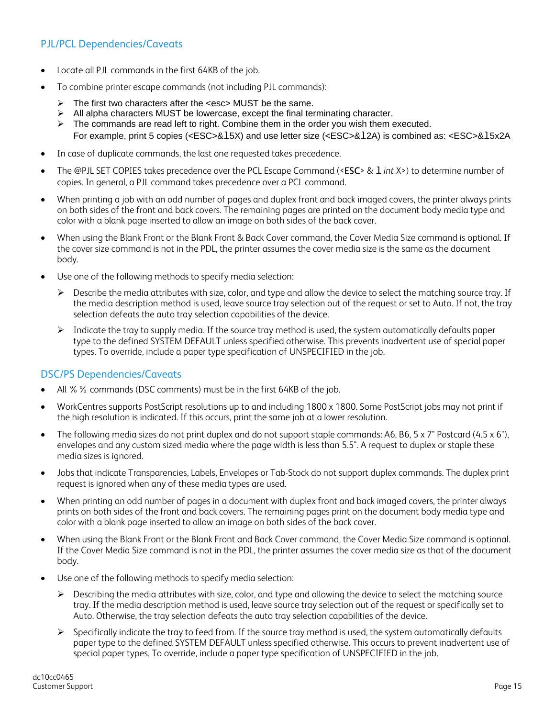#### <span id="page-14-0"></span>PJL/PCL Dependencies/Caveats

- Locate all PJL commands in the first 64KB of the job.
- To combine printer escape commands (not including PJL commands):
	- $\triangleright$  The first two characters after the  $\leq$ esc $>$  MUST be the same.
	- $\triangleright$  All alpha characters MUST be lowercase, except the final terminating character.
	- $\triangleright$  The commands are read left to right. Combine them in the order you wish them executed. For example, print 5 copies (<ESC>&l5X) and use letter size (<ESC>&l2A) is combined as: <ESC>&l5x2A
- In case of duplicate commands, the last one requested takes precedence.
- The @PJL SET COPIES takes precedence over the PCL Escape Command (<ESC> & l *int* X>) to determine number of copies. In general, a PJL command takes precedence over a PCL command.
- When printing a job with an odd number of pages and duplex front and back imaged covers, the printer always prints on both sides of the front and back covers. The remaining pages are printed on the document body media type and color with a blank page inserted to allow an image on both sides of the back cover.
- When using the Blank Front or the Blank Front & Back Cover command, the Cover Media Size command is optional. If the cover size command is not in the PDL, the printer assumes the cover media size is the same as the document body.
- Use one of the following methods to specify media selection:
	- $\triangleright$  Describe the media attributes with size, color, and type and allow the device to select the matching source tray. If the media description method is used, leave source tray selection out of the request or set to Auto. If not, the tray selection defeats the auto tray selection capabilities of the device.
	- $\triangleright$  Indicate the tray to supply media. If the source tray method is used, the system automatically defaults paper type to the defined SYSTEM DEFAULT unless specified otherwise. This prevents inadvertent use of special paper types. To override, include a paper type specification of UNSPECIFIED in the job.

#### <span id="page-14-1"></span>DSC/PS Dependencies/Caveats

- All %% commands (DSC comments) must be in the first 64KB of the job.
- WorkCentres supports PostScript resolutions up to and including 1800 x 1800. Some PostScript jobs may not print if the high resolution is indicated. If this occurs, print the same job at a lower resolution.
- The following media sizes do not print duplex and do not support staple commands: A6, B6, 5 x 7" Postcard (4.5 x 6"), envelopes and any custom sized media where the page width is less than 5.5". A request to duplex or staple these media sizes is ignored.
- Jobs that indicate Transparencies, Labels, Envelopes or Tab-Stock do not support duplex commands. The duplex print request is ignored when any of these media types are used.
- When printing an odd number of pages in a document with duplex front and back imaged covers, the printer always prints on both sides of the front and back covers. The remaining pages print on the document body media type and color with a blank page inserted to allow an image on both sides of the back cover.
- When using the Blank Front or the Blank Front and Back Cover command, the Cover Media Size command is optional. If the Cover Media Size command is not in the PDL, the printer assumes the cover media size as that of the document body.
- Use one of the following methods to specify media selection:
	- $\triangleright$  Describing the media attributes with size, color, and type and allowing the device to select the matching source tray. If the media description method is used, leave source tray selection out of the request or specifically set to Auto. Otherwise, the tray selection defeats the auto tray selection capabilities of the device.
	- $\triangleright$  Specifically indicate the tray to feed from. If the source tray method is used, the system automatically defaults paper type to the defined SYSTEM DEFAULT unless specified otherwise. This occurs to prevent inadvertent use of special paper types. To override, include a paper type specification of UNSPECIFIED in the job.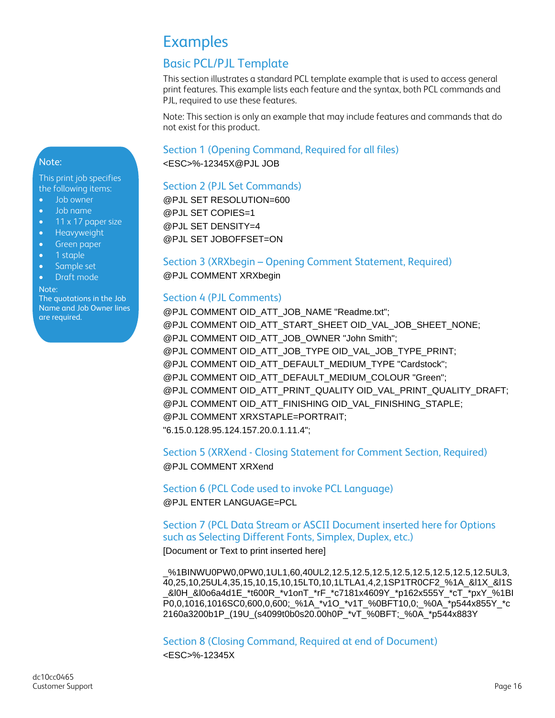## Examples

## Basic PCL/PJL Template

This section illustrates a standard PCL template example that is used to access general print features. This example lists each feature and the syntax, both PCL commands and PJL, required to use these features.

Note: This section is only an example that may include features and commands that do not exist for this product.

Section 1 (Opening Command, Required for all files)

<ESC>%-12345X@PJL JOB

#### Section 2 (PJL Set Commands)

@PJL SET RESOLUTION=600 @PJL SET COPIES=1 @PJL SET DENSITY=4 @PJL SET JOBOFFSET=ON

#### Section 3 (XRXbegin – Opening Comment Statement, Required) @PJL COMMENT XRXbegin

#### Section 4 (PJL Comments)

@PJL COMMENT OID\_ATT\_JOB\_NAME "Readme.txt"; @PJL COMMENT OID\_ATT\_START\_SHEET OID\_VAL\_JOB\_SHEET\_NONE; @PJL COMMENT OID\_ATT\_JOB\_OWNER "John Smith"; @PJL COMMENT OID\_ATT\_JOB\_TYPE OID\_VAL\_JOB\_TYPE\_PRINT; @PJL COMMENT OID\_ATT\_DEFAULT\_MEDIUM\_TYPE "Cardstock"; @PJL COMMENT OID\_ATT\_DEFAULT\_MEDIUM\_COLOUR "Green"; @PJL COMMENT OID\_ATT\_PRINT\_QUALITY OID\_VAL\_PRINT\_QUALITY\_DRAFT; @PJL COMMENT OID\_ATT\_FINISHING OID\_VAL\_FINISHING\_STAPLE; @PJL COMMENT XRXSTAPLE=PORTRAIT; "6.15.0.128.95.124.157.20.0.1.11.4";

#### Section 5 (XRXend - Closing Statement for Comment Section, Required) @PJL COMMENT XRXend

Section 6 (PCL Code used to invoke PCL Language) @PJL ENTER LANGUAGE=PCL

#### Section 7 (PCL Data Stream or ASCII Document inserted here for Options such as Selecting Different Fonts, Simplex, Duplex, etc.)

[Document or Text to print inserted here]

\_%1BINWU0PW0,0PW0,1UL1,60,40UL2,12.5,12.5,12.5,12.5,12.5,12.5,12.5,12.5UL3, 40,25,10,25UL4,35,15,10,15,10,15LT0,10,1LTLA1,4,2,1SP1TR0CF2\_%1A\_&l1X\_&l1S \_&l0H\_&l0o6a4d1E\_\*t600R\_\*v1onT\_\*rF\_\*c7181x4609Y\_\*p162x555Y\_\*cT\_\*pxY\_%1BI P0,0,1016,1016SC0,600,0,600;\_%1A\_\*v1O\_\*v1T\_%0BFT10,0;\_%0A\_\*p544x855Y\_\*c 2160a3200b1P\_(19U\_(s4099t0b0s20.00h0P\_\*vT\_%0BFT;\_%0A\_\*p544x883Y

Section 8 (Closing Command, Required at end of Document)

<ESC>%-12345X

<span id="page-15-0"></span>This print job specifies the following items:

- Job owner
- Job name
- $\bullet$  11 x 17 paper size
- **•** Heavyweight
- **Green paper**
- 1 staple
- Sample set
- Draft mode

Note:

The quotations in the Job Name and Job Owner lines are required.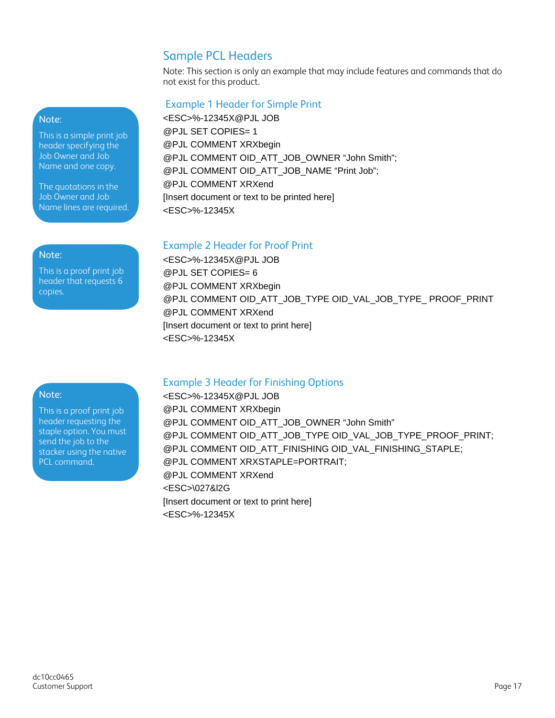### Sample PCL Headers

Note: This section is only an example that may include features and commands that do not exist for this product.

#### Example 1 Header for Simple Print

<ESC>%-12345X@PJL JOB @PJL SET COPIES= 1 @PJL COMMENT XRXbegin @PJL COMMENT OID\_ATT\_JOB\_OWNER "John Smith"; @PJL COMMENT OID\_ATT\_JOB\_NAME "Print Job"; @PJL COMMENT XRXend [Insert document or text to be printed here] <ESC>%-12345X

## Example 2 Header for Proof Print<br>
ESC- % 12245X@D IL JOP

<ESC>%-12345X@PJL JOB @PJL SET COPIES= 6 @PJL COMMENT XRXbegin @PJL COMMENT OID\_ATT\_JOB\_TYPE OID\_VAL\_JOB\_TYPE\_ PROOF\_PRINT @PJL COMMENT XRXend [Insert document or text to print here] <ESC>%-12345X

#### Example 3 Header for Finishing Options

<ESC>%-12345X@PJL JOB @PJL COMMENT XRXbegin @PJL COMMENT OID\_ATT\_JOB\_OWNER "John Smith" @PJL COMMENT OID\_ATT\_JOB\_TYPE OID\_VAL\_JOB\_TYPE\_PROOF\_PRINT; @PJL COMMENT OID\_ATT\_FINISHING OID\_VAL\_FINISHING\_STAPLE; @PJL COMMENT XRXSTAPLE=PORTRAIT; @PJL COMMENT XRXend <ESC>\027&l2G [Insert document or text to print here] <ESC>%-12345X

#### Note:

This is a simple print job header specifying the Job Owner and Job Name and one copy.

The quotations in the Job Owner and Job Name lines are required.

This is a proof print job header that requests 6 copies.

#### Note:

This is a proof print job header requesting the staple option. You must send the job to the stacker using the native PCL command.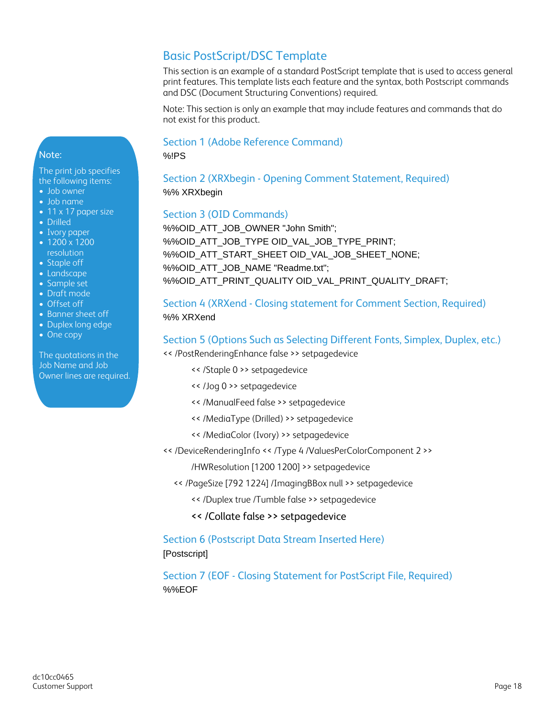### Basic PostScript/DSC Template

This section is an example of a standard PostScript template that is used to access general print features. This template lists each feature and the syntax, both Postscript commands and DSC (Document Structuring Conventions) required.

Note: This section is only an example that may include features and commands that do not exist for this product.

#### Section 1 (Adobe Reference Command)

%!PS

Section 2 (XRXbegin - Opening Comment Statement, Required) %% XRXbegin

#### Section 3 (OID Commands)

%%OID\_ATT\_JOB\_OWNER "John Smith"; %%OID\_ATT\_JOB\_TYPE OID\_VAL\_JOB\_TYPE\_PRINT; %%OID\_ATT\_START\_SHEET OID\_VAL\_JOB\_SHEET\_NONE; %%OID\_ATT\_JOB\_NAME "Readme.txt"; %%OID\_ATT\_PRINT\_QUALITY OID\_VAL\_PRINT\_QUALITY\_DRAFT;

#### Section 4 (XRXend - Closing statement for Comment Section, Required) %% XRXend

#### Section 5 (Options Such as Selecting Different Fonts, Simplex, Duplex, etc.)

<< /PostRenderingEnhance false >> setpagedevice

- << /Staple 0 >> setpagedevice
- << /Jog 0 >> setpagedevice
- << /ManualFeed false >> setpagedevice
- << /MediaType (Drilled) >> setpagedevice
- << /MediaColor (Ivory) >> setpagedevice
- << /DeviceRenderingInfo << /Type 4 /ValuesPerColorComponent 2 >>

/HWResolution [1200 1200] >> setpagedevice

- << /PageSize [792 1224] /ImagingBBox null >> setpagedevice
	- << /Duplex true /Tumble false >> setpagedevice
	- << /Collate false >> setpagedevice

Section 6 (Postscript Data Stream Inserted Here) [Postscript]

Section 7 (EOF - Closing Statement for PostScript File, Required) %%EOF

#### Note:

The print job specifies the following items: • Job owner

- Job name
- 11 x 17 paper size
- Drilled
- Ivory paper
- 1200 x 1200 resolution
- Staple off • Landscape
- Sample set
- Draft mode
- Offset off
- Banner sheet off
- Duplex long edge
- One copy

The quotations in the Job Name and Job Owner lines are required.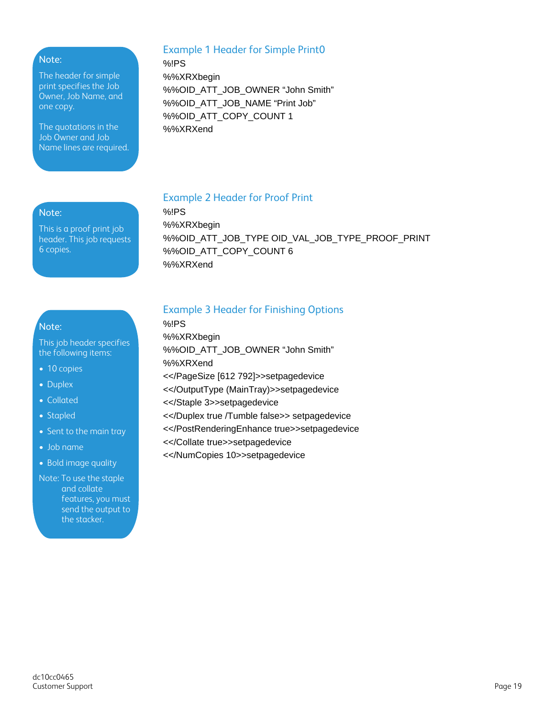#### Note:

The header for simple print specifies the Job Owner, Job Name, and one copy.

The quotations in the Job Owner and Job Name lines are required.

#### Example 1 Header for Simple Print0

%!PS %%XRXbegin %%OID\_ATT\_JOB\_OWNER "John Smith" %%OID\_ATT\_JOB\_NAME "Print Job" %%OID\_ATT\_COPY\_COUNT 1 %%XRXend

#### Note:

This is a proof print job header. This job requests 6 copies.

#### Example 2 Header for Proof Print

%!PS %%XRXbegin %%OID\_ATT\_JOB\_TYPE OID\_VAL\_JOB\_TYPE\_PROOF\_PRINT %%OID\_ATT\_COPY\_COUNT 6 %%XRXend

#### Note:

This job header specifies the following items:

- 10 copies
- Duplex
- Collated
- Stapled
- Sent to the main tray
- Job name
- Bold image quality

Note: To use the staple and collate features, you must send the output to the stacker.

#### Example 3 Header for Finishing Options

%!PS %%XRXbegin %%OID\_ATT\_JOB\_OWNER "John Smith" %%XRXend <</PageSize [612 792]>>setpagedevice <</OutputType (MainTray)>>setpagedevice <</Staple 3>>setpagedevice <</Duplex true /Tumble false>> setpagedevice <</PostRenderingEnhance true>>setpagedevice <</Collate true>>setpagedevice <</NumCopies 10>>setpagedevice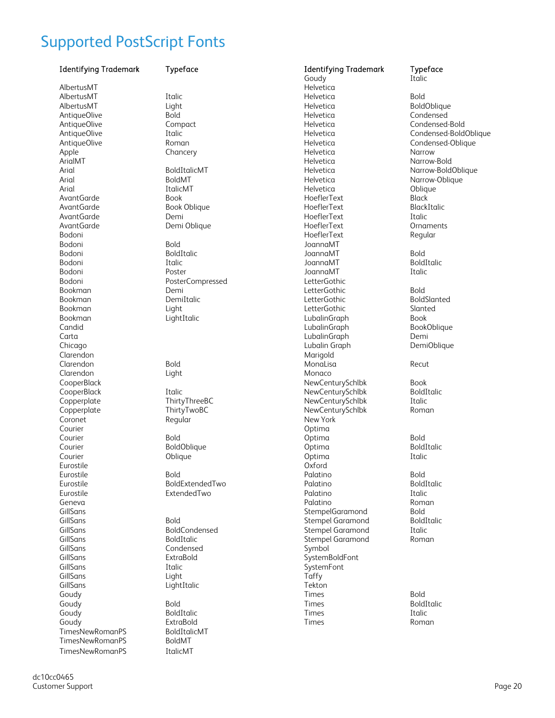## <span id="page-19-0"></span>Supported PostScript Fonts

| <b>Identifying Trademark</b> | Typeface             | <b>Identifying Trademark</b><br>Goudy | Typeface<br>Italic          |
|------------------------------|----------------------|---------------------------------------|-----------------------------|
| AlbertusMT                   |                      | Helvetica                             |                             |
| AlbertusMT                   | Italic               | Helvetica                             | <b>Bold</b>                 |
| AlbertusMT                   | Light                | Helvetica                             | BoldOblique                 |
| AntiqueOlive                 | <b>Bold</b>          | Helvetica                             | Condensed                   |
| AntiqueOlive                 | Compact              | Helvetica                             | Condensed-Bold              |
| AntiqueOlive                 | Italic               | Helvetica                             | Condensed-BoldOblique       |
| AntiqueOlive                 | Roman                | Helvetica                             |                             |
|                              |                      | Helvetica                             | Condensed-Oblique<br>Narrow |
| Apple                        | Chancery             |                                       |                             |
| ArialMT                      |                      | Helvetica                             | Narrow-Bold                 |
| Arial                        | BoldItalicMT         | Helvetica                             | Narrow-BoldOblique          |
| Arial                        | <b>BoldMT</b>        | Helvetica                             | Narrow-Oblique              |
| Arial                        | <b>ItalicMT</b>      | Helvetica                             | Oblique                     |
| AvantGarde                   | <b>Book</b>          | HoeflerText                           | <b>Black</b>                |
| AvantGarde                   | Book Oblique         | HoeflerText                           | BlackItalic                 |
| AvantGarde                   | Demi                 | HoeflerText                           | Italic                      |
| AvantGarde                   | Demi Oblique         | HoeflerText                           | Ornaments                   |
| Bodoni                       |                      | HoeflerText                           | Regular                     |
| Bodoni                       | <b>Bold</b>          | JoannaMT                              |                             |
| Bodoni                       | BoldItalic           | JoannaMT                              | <b>Bold</b>                 |
| Bodoni                       | Italic               | JoannaMT                              | <b>BoldItalic</b>           |
| Bodoni                       | Poster               | JoannaMT                              | Italic                      |
| Bodoni                       | PosterCompressed     | LetterGothic                          |                             |
| Bookman                      | Demi                 | LetterGothic                          | <b>Bold</b>                 |
| Bookman                      | DemiItalic           | LetterGothic                          | BoldSlanted                 |
| Bookman                      | Light                | LetterGothic                          | Slanted                     |
| Bookman                      | LightItalic          | LubalinGraph                          | <b>Book</b>                 |
| Candid                       |                      | LubalinGraph                          | BookOblique                 |
| Carta                        |                      | LubalinGraph                          | Demi                        |
| Chicago                      |                      | Lubalin Graph                         | <b>DemiOblique</b>          |
| Clarendon                    |                      | Marigold                              |                             |
| Clarendon                    | <b>Bold</b>          | MonaLisa                              | Recut                       |
| Clarendon                    | Light                | Monaco                                |                             |
| CooperBlack                  |                      | NewCenturySchlbk                      | <b>Book</b>                 |
| CooperBlack                  | Italic               | NewCenturySchlbk                      | BoldItalic                  |
| Copperplate                  | ThirtyThreeBC        | NewCenturySchlbk                      | Italic                      |
| Copperplate                  |                      | NewCenturySchlbk                      |                             |
|                              | ThirtyTwoBC          |                                       | Roman                       |
| Coronet                      | Regular              | New York                              |                             |
| Courier                      |                      | Optima                                |                             |
| Courier                      | <b>Bold</b>          | Optima                                | <b>Bold</b>                 |
| Courier                      | BoldOblique          | Optima                                | BoldItalic                  |
| Courier                      | Oblique              | Optima                                | Italic                      |
| Eurostile                    |                      | Oxford                                |                             |
| Eurostile                    | Bold                 | Palatino                              | <b>Bold</b>                 |
| Eurostile                    | BoldExtendedTwo      | Palatino                              | BoldItalic                  |
| Eurostile                    | ExtendedTwo          | Palatino                              | Italic                      |
| Geneva                       |                      | Palatino                              | Roman                       |
| GillSans                     |                      | StempelGaramond                       | <b>Bold</b>                 |
| GillSans                     | <b>Bold</b>          | <b>Stempel Garamond</b>               | BoldItalic                  |
| GillSans                     | <b>BoldCondensed</b> | Stempel Garamond                      | Italic                      |
| GillSans                     | BoldItalic           | <b>Stempel Garamond</b>               | Roman                       |
| GillSans                     | Condensed            | Symbol                                |                             |
| GillSans                     | ExtraBold            | SystemBoldFont                        |                             |
| GillSans                     | Italic               | SystemFont                            |                             |
| GillSans                     | Light                | Taffy                                 |                             |
| GillSans                     | LightItalic          | Tekton                                |                             |
| Goudy                        |                      | Times                                 | <b>Bold</b>                 |
| Goudy                        | <b>Bold</b>          | Times                                 | BoldItalic                  |
| Goudy                        | BoldItalic           | Times                                 | Italic                      |
| Goudy                        | ExtraBold            | Times                                 | Roman                       |
| TimesNewRomanPS              | BoldItalicMT         |                                       |                             |
| <b>TimesNewRomanPS</b>       |                      |                                       |                             |
|                              | <b>BoldMT</b>        |                                       |                             |
| TimesNewRomanPS              | ItalicMT             |                                       |                             |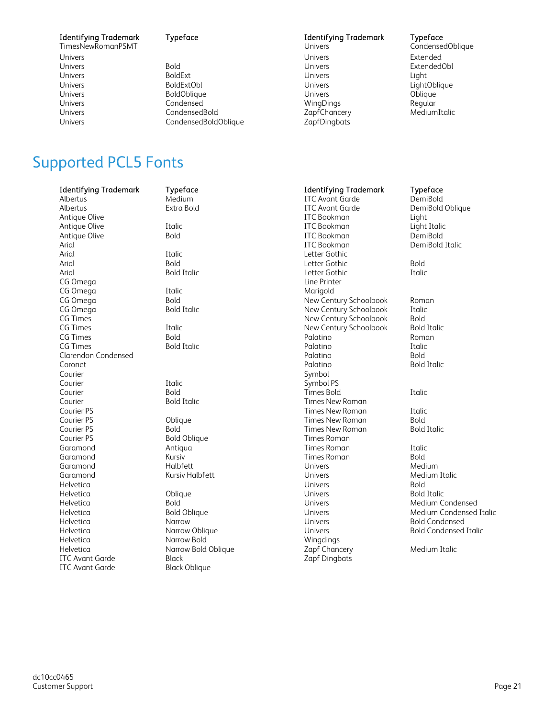TimesNewRomanPSMT Univers Extended Extended Controller Controller Controller Controller Controller Controller Controller Controller

Univers Bold Univers ExtendedObl Univers BoldExt Univers Light Univers BoldExtObl Univers LightOblique Univers BoldOblique Univers Oblique Univers CondensedBold ZapfChancery MediumItalic CondensedBoldOblique

## **Identifying Trademark Typeface The Condensition Condensition Condensed Oblique**<br>
Identifying Trademark Typeface TimesNewRomanPSMT Condensed Oblique

WingDings

## <span id="page-20-0"></span>Supported PCL5 Fonts

| <b>Identifying Trademark</b> | Typeface               | <b>Identifying Trademark</b> | Typeface                     |
|------------------------------|------------------------|------------------------------|------------------------------|
| Albertus                     | Medium                 | <b>ITC Avant Garde</b>       | DemiBold                     |
| Albertus                     | Extra Bold             | <b>ITC Avant Garde</b>       | DemiBold Oblique             |
| Antique Olive                |                        | <b>ITC</b> Bookman           | Light                        |
| Antique Olive                | Italic                 | <b>ITC</b> Bookman           | Light Italic                 |
| Antique Olive                | <b>Bold</b>            | <b>ITC</b> Bookman           | DemiBold                     |
| Arial                        |                        | <b>ITC</b> Bookman           | DemiBold Italic              |
| Arial                        | Italic                 | Letter Gothic                |                              |
| Arial                        | <b>Bold</b>            | Letter Gothic                | <b>Bold</b>                  |
| Arial                        | <b>Bold Italic</b>     | Letter Gothic                | Italic                       |
| CG Omega                     |                        | Line Printer                 |                              |
| CG Omega                     | Italic                 | Marigold                     |                              |
| CG Omega                     | <b>Bold</b>            | New Century Schoolbook       | Roman                        |
| CG Omega                     | <b>Bold Italic</b>     | New Century Schoolbook       | Italic                       |
| CG Times                     |                        | New Century Schoolbook       | <b>Bold</b>                  |
| CG Times                     | Italic                 | New Century Schoolbook       | <b>Bold Italic</b>           |
| CG Times                     | <b>Bold</b>            | Palatino                     | Roman                        |
| CG Times                     | <b>Bold Italic</b>     | Palatino                     | Italic                       |
| <b>Clarendon Condensed</b>   |                        | Palatino                     | <b>Bold</b>                  |
| Coronet                      |                        | Palatino                     | <b>Bold Italic</b>           |
| Courier                      |                        | Symbol                       |                              |
| Courier                      | Italic                 | Symbol PS                    |                              |
| Courier                      | <b>Bold</b>            | <b>Times Bold</b>            | Italic                       |
| Courier                      | <b>Bold Italic</b>     | <b>Times New Roman</b>       |                              |
| Courier PS                   |                        | <b>Times New Roman</b>       | Italic                       |
| Courier PS                   | Oblique                | Times New Roman              | <b>Bold</b>                  |
| Courier PS                   | <b>Bold</b>            | <b>Times New Roman</b>       | <b>Bold Italic</b>           |
| Courier PS                   | <b>Bold Oblique</b>    | <b>Times Roman</b>           |                              |
| Garamond                     | Antiqua                | Times Roman                  | Italic                       |
| Garamond                     | Kursiv                 | <b>Times Roman</b>           | <b>Bold</b>                  |
| Garamond                     | Halbfett               | Univers                      | Medium                       |
| Garamond                     | <b>Kursiv Halbfett</b> | Univers                      | Medium Italic                |
| Helvetica                    |                        | Univers                      | <b>Bold</b>                  |
| Helvetica                    | Oblique                | Univers                      | <b>Bold Italic</b>           |
| Helvetica                    | <b>Bold</b>            | Univers                      | Medium Condensed             |
| Helvetica                    | <b>Bold Oblique</b>    | Univers                      | Medium Condensed Italic      |
| Helvetica                    | Narrow                 | Univers                      | <b>Bold Condensed</b>        |
| Helvetica                    | Narrow Oblique         | <b>Univers</b>               | <b>Bold Condensed Italic</b> |
| Helvetica                    | Narrow Bold            | Wingdings                    |                              |
| Helvetica                    | Narrow Bold Oblique    | Zapf Chancery                | Medium Italic                |
| <b>ITC Avant Garde</b>       | <b>Black</b>           | Zapf Dingbats                |                              |
| <b>ITC Avant Garde</b>       | <b>Black Oblique</b>   |                              |                              |